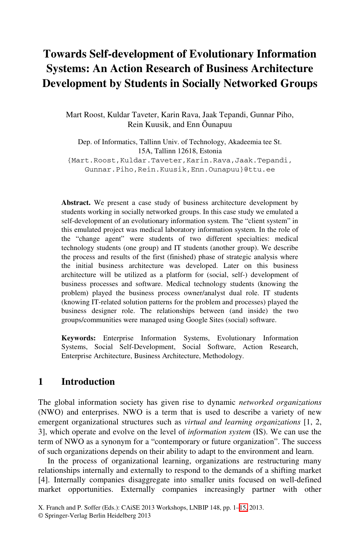# **Towards Self-development of Evolutionary Information Systems: An Action Research of Business Architecture Development by Students in Socially Networked Groups**

Mart Roost, Kuldar Taveter, Karin Rava, Jaak Tepandi, Gunnar Piho, Rein Kuusik, and Enn Õunapuu

Dep. of Informatics, Tallinn Univ. of Technology, Akadeemia tee St. 15A, Tallinn 12618, Estonia {Mart.Roost,Kuldar.Taveter,Karin.Rava,Jaak.Tepandi,

Gunnar.Piho,Rein.Kuusik,Enn.Ounapuu}@ttu.ee

**Abstract.** We present a case study of business architecture development by students working in socially networked groups. In this case study we emulated a self-development of an evolutionary information system. The "client system" in this emulated project was medical laboratory information system. In the role of the "change agent" were students of two different specialties: medical technology students (one group) and IT students (another group). We describe the process and results of the first (finished) phase of strategic analysis where the initial business architecture was developed. Later on this business architecture will be utilized as a platform for (social, self-) development of business processes and software. Medical technology students (knowing the problem) played the business process owner/analyst dual role. IT students (knowing IT-related solution patterns for the problem and processes) played the business designer role. The relationships between (and inside) the two groups/communities were managed using Google Sites (social) software.

**Keywords:** Enterprise Information Systems, Evolutionary Information Systems, Social Self-Development, Social Software, Action Research, Enterprise Architecture, Business Architecture, Methodology.

#### **1 Introduction**

The global information society has given rise to dynamic *networked organizations* (NWO) and enterprises. NWO is a term that is used to describe a variety of new emergent organizational structures such as *virtual and learning organizations* [1, 2, 3], which operate and evolve on the leve[l of](#page-14-0) *information system* (IS). We can use the term of NWO as a synonym for a "contemporary or future organization". The success of such organizations depends on their ability to adapt to the environment and learn.

In the process of organizational learning, organizations are restructuring many relationships internally and externally to respond to the demands of a shifting market [4]. Internally companies disaggregate into smaller units focused on well-defined market opportunities. Externally companies increasingly partner with other

X. Franch and P. Soffer (Eds.): CAiSE 2013 Workshops, LNBIP 148, pp. 1–15, 2013.

<sup>©</sup> Springer-Verlag Berlin Heidelberg 2013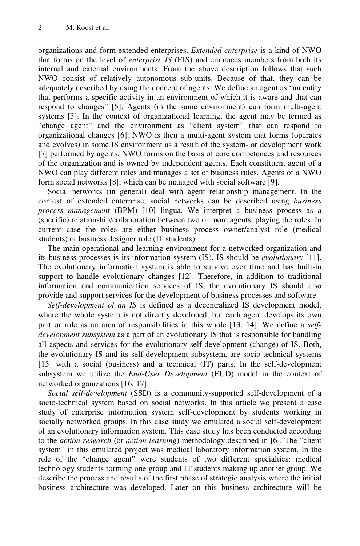organizations and form extended enterprises. *Extended enterprise* is a kind of NWO that forms on the level of *enterprise IS* (EIS) and embraces members from both its internal and external environments. From the above description follows that such NWO consist of relatively autonomous sub-units. Because of that, they can be adequately described by using the concept of agents. We define an agent as "an entity that performs a specific activity in an environment of which it is aware and that can respond to changes" [5]. Agents (in the same environment) can form multi-agent systems [5]. In the context of organizational learning, the agent may be termed as "change agent" and the environment as "client system" that can respond to organizational changes [6]. NWO is then a multi-agent system that forms (operates and evolves) in some IS environment as a result of the system- or development work [7] performed by agents. NWO forms on the basis of core competences and resources of the organization and is owned by independent agents. Each constituent agent of a NWO can play different roles and manages a set of business rules. Agents of a NWO form social networks [8], which can be managed with social software [9].

Social networks (in general) deal with agent relationship management. In the context of extended enterprise, social networks can be described using *business process management* (BPM) [10] lingua. We interpret a business process as a (specific) relationship/collaboration between two or more agents, playing the roles. In current case the roles are either business process owner/analyst role (medical students) or business designer role (IT students).

The main operational and learning environment for a networked organization and its business processes is its information system (IS). IS should be *evolutionary* [11]. The evolutionary information system is able to survive over time and has built-in support to handle evolutionary changes [12]. Therefore, in addition to traditional information and communication services of IS, the evolutionary IS should also provide and support services for the development of business processes and software.

*Self-development of an IS* is defined as a decentralized IS development model, where the whole system is not directly developed, but each agent develops its own part or role as an area of responsibilities in this whole [13, 14]. We define a *selfdevelopment subsystem* as a part of an evolutionary IS that is responsible for handling all aspects and services for the evolutionary self-development (change) of IS. Both, the evolutionary IS and its self-development subsystem, are socio-technical systems [15] with a social (business) and a technical (IT) parts. In the self-development subsystem we utilize the *End-User Development* (EUD) model in the context of networked organizations [16, 17].

*Social self-development* (SSD) is a community-supported self-development of a socio-technical system based on social networks. In this article we present a case study of enterprise information system self-development by students working in socially networked groups. In this case study we emulated a social self-development of an evolutionary information system. This case study has been conducted according to the *action research* (or *action learning*) methodology described in [6]. The "client system" in this emulated project was medical laboratory information system. In the role of the "change agent" were students of two different specialties: medical technology students forming one group and IT students making up another group. We describe the process and results of the first phase of strategic analysis where the initial business architecture was developed. Later on this business architecture will be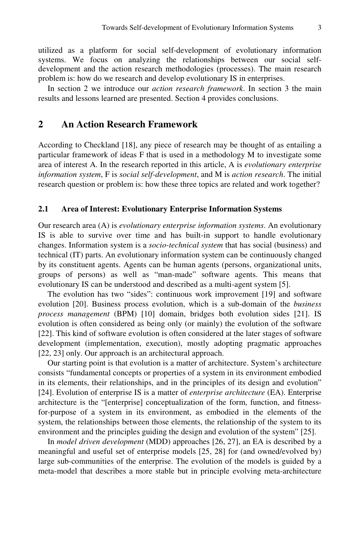utilized as a platform for social self-development of evolutionary information systems. We focus on analyzing the relationships between our social selfdevelopment and the action research methodologies (processes). The main research problem is: how do we research and develop evolutionary IS in enterprises.

In section 2 we introduce our *action research framework*. In section 3 the main results and lessons learned are presented. Section 4 provides conclusions.

#### **2 An Action Research Framework**

According to Checkland [18], any piece of research may be thought of as entailing a particular framework of ideas F that is used in a methodology M to investigate some area of interest A. In the research reported in this article, A is *evolutionary enterprise information system*, F is *social self-development*, and M is *action research*. The initial research question or problem is: how these three topics are related and work together?

#### **2.1 Area of Interest: Evolutionary Enterprise Information Systems**

Our research area (A) is *evolutionary enterprise information systems*. An evolutionary IS is able to survive over time and has built-in support to handle evolutionary changes. Information system is a *socio-technical system* that has social (business) and technical (IT) parts. An evolutionary information system can be continuously changed by its constituent agents. Agents can be human agents (persons, organizational units, groups of persons) as well as "man-made" software agents. This means that evolutionary IS can be understood and described as a multi-agent system [5].

The evolution has two "sides": continuous work improvement [19] and software evolution [20]. Business process evolution, which is a sub-domain of the *business process management* (BPM) [10] domain, bridges both evolution sides [21]. IS evolution is often considered as being only (or mainly) the evolution of the software [22]. This kind of software evolution is often considered at the later stages of software development (implementation, execution), mostly adopting pragmatic approaches [22, 23] only. Our approach is an architectural approach.

Our starting point is that evolution is a matter of architecture. System's architecture consists "fundamental concepts or properties of a system in its environment embodied in its elements, their relationships, and in the principles of its design and evolution" [24]. Evolution of enterprise IS is a matter of *enterprise architecture* (EA). Enterprise architecture is the "[enterprise] conceptualization of the form, function, and fitnessfor-purpose of a system in its environment, as embodied in the elements of the system, the relationships between those elements, the relationship of the system to its environment and the principles guiding the design and evolution of the system" [25].

In *model driven development* (MDD) approaches [26, 27], an EA is described by a meaningful and useful set of enterprise models [25, 28] for (and owned/evolved by) large sub-communities of the enterprise. The evolution of the models is guided by a meta-model that describes a more stable but in principle evolving meta-architecture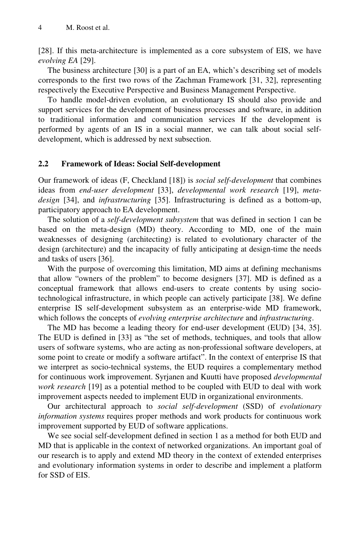[28]. If this meta-architecture is implemented as a core subsystem of EIS, we have *evolving EA* [29].

The business architecture [30] is a part of an EA, which's describing set of models corresponds to the first two rows of the Zachman Framework [31, 32], representing respectively the Executive Perspective and Business Management Perspective.

To handle model-driven evolution, an evolutionary IS should also provide and support services for the development of business processes and software, in addition to traditional information and communication services If the development is performed by agents of an IS in a social manner, we can talk about social selfdevelopment, which is addressed by next subsection.

#### **2.2 Framework of Ideas: Social Self-development**

Our framework of ideas (F, Checkland [18]) is *social self-development* that combines ideas from *end-user development* [33], *developmental work research* [19], *metadesign* [34], and *infrastructuring* [35]. Infrastructuring is defined as a bottom-up, participatory approach to EA development.

The solution of a *self-development subsystem* that was defined in section 1 can be based on the meta-design (MD) theory. According to MD, one of the main weaknesses of designing (architecting) is related to evolutionary character of the design (architecture) and the incapacity of fully anticipating at design-time the needs and tasks of users [36].

With the purpose of overcoming this limitation, MD aims at defining mechanisms that allow "owners of the problem" to become designers [37]. MD is defined as a conceptual framework that allows end-users to create contents by using sociotechnological infrastructure, in which people can actively participate [38]. We define enterprise IS self-development subsystem as an enterprise-wide MD framework, which follows the concepts of *evolving enterprise architecture* and *infrastructuring*.

The MD has become a leading theory for end-user development (EUD) [34, 35]. The EUD is defined in [33] as "the set of methods, techniques, and tools that allow users of software systems, who are acting as non-professional software developers, at some point to create or modify a software artifact". In the context of enterprise IS that we interpret as socio-technical systems, the EUD requires a complementary method for continuous work improvement. Syrjanen and Kuutti have proposed *developmental work research* [19] as a potential method to be coupled with EUD to deal with work improvement aspects needed to implement EUD in organizational environments.

Our architectural approach to *social self-development* (SSD) of *evolutionary information systems* requires proper methods and work products for continuous work improvement supported by EUD of software applications.

We see social self-development defined in section 1 as a method for both EUD and MD that is applicable in the context of networked organizations. An important goal of our research is to apply and extend MD theory in the context of extended enterprises and evolutionary information systems in order to describe and implement a platform for SSD of EIS.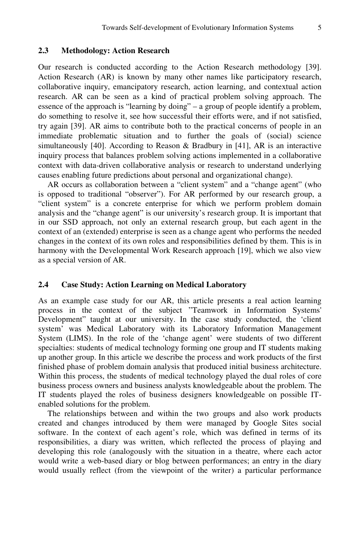#### **2.3 Methodology: Action Research**

Our research is conducted according to the Action Research methodology [39]. Action Research (AR) is known by many other names like participatory research, collaborative inquiry, emancipatory research, action learning, and contextual action research. AR can be seen as a kind of practical problem solving approach. The essence of the approach is "learning by doing" – a group of people identify a problem, do something to resolve it, see how successful their efforts were, and if not satisfied, try again [39]. AR aims to contribute both to the practical concerns of people in an immediate problematic situation and to further the goals of (social) science simultaneously [40]. According to Reason & Bradbury in [41], AR is an interactive inquiry process that balances problem solving actions implemented in a collaborative context with data-driven collaborative analysis or research to understand underlying causes enabling future predictions about personal and organizational change).

AR occurs as collaboration between a "client system" and a "change agent" (who is opposed to traditional "observer"). For AR performed by our research group, a "client system" is a concrete enterprise for which we perform problem domain analysis and the "change agent" is our university's research group. It is important that in our SSD approach, not only an external research group, but each agent in the context of an (extended) enterprise is seen as a change agent who performs the needed changes in the context of its own roles and responsibilities defined by them. This is in harmony with the Developmental Work Research approach [19], which we also view as a special version of AR.

#### **2.4 Case Study: Action Learning on Medical Laboratory**

As an example case study for our AR, this article presents a real action learning process in the context of the subject "Teamwork in Information Systems' Development" taught at our university. In the case study conducted, the 'client system' was Medical Laboratory with its Laboratory Information Management System (LIMS). In the role of the 'change agent' were students of two different specialties: students of medical technology forming one group and IT students making up another group. In this article we describe the process and work products of the first finished phase of problem domain analysis that produced initial business architecture. Within this process, the students of medical technology played the dual roles of core business process owners and business analysts knowledgeable about the problem. The IT students played the roles of business designers knowledgeable on possible ITenabled solutions for the problem.

The relationships between and within the two groups and also work products created and changes introduced by them were managed by Google Sites social software. In the context of each agent's role, which was defined in terms of its responsibilities, a diary was written, which reflected the process of playing and developing this role (analogously with the situation in a theatre, where each actor would write a web-based diary or blog between performances; an entry in the diary would usually reflect (from the viewpoint of the writer) a particular performance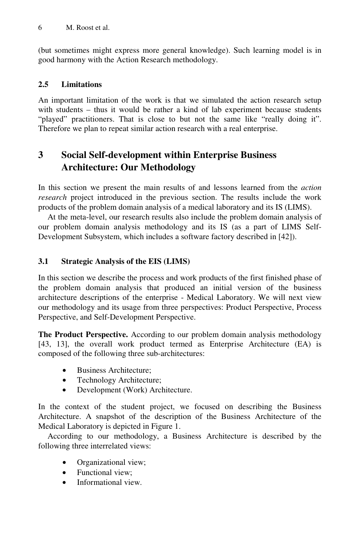(but sometimes might express more general knowledge). Such learning model is in good harmony with the Action Research methodology.

### **2.5 Limitations**

An important limitation of the work is that we simulated the action research setup with students – thus it would be rather a kind of lab experiment because students "played" practitioners. That is close to but not the same like "really doing it". Therefore we plan to repeat similar action research with a real enterprise.

# **3 Social Self-development within Enterprise Business Architecture: Our Methodology**

In this section we present the main results of and lessons learned from the *action research* project introduced in the previous section. The results include the work products of the problem domain analysis of a medical laboratory and its IS (LIMS).

At the meta-level, our research results also include the problem domain analysis of our problem domain analysis methodology and its IS (as a part of LIMS Self-Development Subsystem, which includes a software factory described in [42]).

### **3.1 Strategic Analysis of the EIS (LIMS)**

In this section we describe the process and work products of the first finished phase of the problem domain analysis that produced an initial version of the business architecture descriptions of the enterprise - Medical Laboratory. We will next view our methodology and its usage from three perspectives: Product Perspective, Process Perspective, and Self-Development Perspective.

**The Product Perspective.** According to our problem domain analysis methodology [43, 13], the overall work product termed as Enterprise Architecture (EA) is composed of the following three sub-architectures:

- Business Architecture;
- Technology Architecture;
- Development (Work) Architecture.

In the context of the student project, we focused on describing the Business Architecture. A snapshot of the description of the Business Architecture of the Medical Laboratory is depicted in Figure 1.

According to our methodology, a Business Architecture is described by the following three interrelated views:

- Organizational view;
- Functional view;
- Informational view.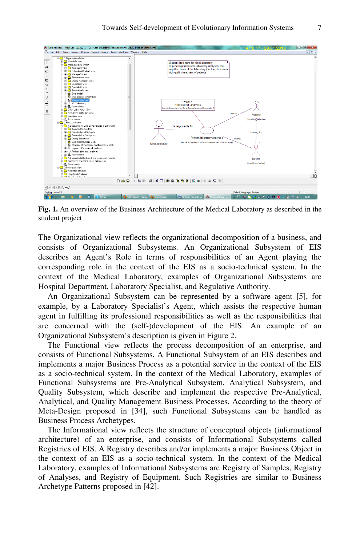

**Fig. 1.** An overview of the Business Architecture of the Medical Laboratory as described in the student project

The Organizational view reflects the organizational decomposition of a business, and consists of Organizational Subsystems. An Organizational Subsystem of EIS describes an Agent's Role in terms of responsibilities of an Agent playing the corresponding role in the context of the EIS as a socio-technical system. In the context of the Medical Laboratory, examples of Organizational Subsystems are Hospital Department, Laboratory Specialist, and Regulative Authority.

An Organizational Subsystem can be represented by a software agent [5], for example, by a Laboratory Specialist's Agent, which assists the respective human agent in fulfilling its professional responsibilities as well as the responsibilities that are concerned with the (self-)development of the EIS. An example of an Organizational Subsystem's description is given in Figure 2.

The Functional view reflects the process decomposition of an enterprise, and consists of Functional Subsystems. A Functional Subsystem of an EIS describes and implements a major Business Process as a potential service in the context of the EIS as a socio-technical system. In the context of the Medical Laboratory, examples of Functional Subsystems are Pre-Analytical Subsystem, Analytical Subsystem, and Quality Subsystem, which describe and implement the respective Pre-Analytical, Analytical, and Quality Management Business Processes. According to the theory of Meta-Design proposed in [34], such Functional Subsystems can be handled as Business Process Archetypes.

The Informational view reflects the structure of conceptual objects (informational architecture) of an enterprise, and consists of Informational Subsystems called Registries of EIS. A Registry describes and/or implements a major Business Object in the context of an EIS as a socio-technical system. In the context of the Medical Laboratory, examples of Informational Subsystems are Registry of Samples, Registry of Analyses, and Registry of Equipment. Such Registries are similar to Business Archetype Patterns proposed in [42].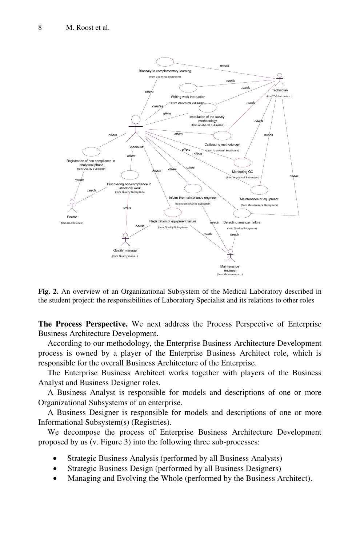

**Fig. 2.** An overview of an Organizational Subsystem of the Medical Laboratory described in the student project: the responsibilities of Laboratory Specialist and its relations to other roles

**The Process Perspective.** We next address the Process Perspective of Enterprise Business Architecture Development.

According to our methodology, the Enterprise Business Architecture Development process is owned by a player of the Enterprise Business Architect role, which is responsible for the overall Business Architecture of the Enterprise.

The Enterprise Business Architect works together with players of the Business Analyst and Business Designer roles.

A Business Analyst is responsible for models and descriptions of one or more Organizational Subsystems of an enterprise.

A Business Designer is responsible for models and descriptions of one or more Informational Subsystem(s) (Registries).

We decompose the process of Enterprise Business Architecture Development proposed by us (v. Figure 3) into the following three sub-processes:

- Strategic Business Analysis (performed by all Business Analysts)
- Strategic Business Design (performed by all Business Designers)
- Managing and Evolving the Whole (performed by the Business Architect).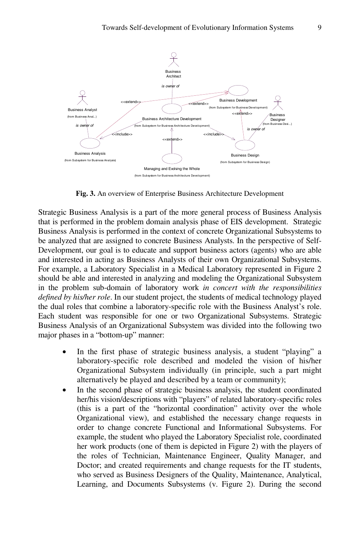

**Fig. 3.** An overview of Enterprise Business Architecture Development

Strategic Business Analysis is a part of the more general process of Business Analysis that is performed in the problem domain analysis phase of EIS development. Strategic Business Analysis is performed in the context of concrete Organizational Subsystems to be analyzed that are assigned to concrete Business Analysts. In the perspective of Self-Development, our goal is to educate and support business actors (agents) who are able and interested in acting as Business Analysts of their own Organizational Subsystems. For example, a Laboratory Specialist in a Medical Laboratory represented in Figure 2 should be able and interested in analyzing and modeling the Organizational Subsystem in the problem sub-domain of laboratory work *in concert with the responsibilities defined by his/her role*. In our student project, the students of medical technology played the dual roles that combine a laboratory-specific role with the Business Analyst's role. Each student was responsible for one or two Organizational Subsystems. Strategic Business Analysis of an Organizational Subsystem was divided into the following two major phases in a "bottom-up" manner:

- In the first phase of strategic business analysis, a student "playing" a laboratory-specific role described and modeled the vision of his/her Organizational Subsystem individually (in principle, such a part might alternatively be played and described by a team or community);
- In the second phase of strategic business analysis, the student coordinated her/his vision/descriptions with "players" of related laboratory-specific roles (this is a part of the "horizontal coordination" activity over the whole Organizational view), and established the necessary change requests in order to change concrete Functional and Informational Subsystems. For example, the student who played the Laboratory Specialist role, coordinated her work products (one of them is depicted in Figure 2) with the players of the roles of Technician, Maintenance Engineer, Quality Manager, and Doctor; and created requirements and change requests for the IT students, who served as Business Designers of the Quality, Maintenance, Analytical, Learning, and Documents Subsystems (v. Figure 2). During the second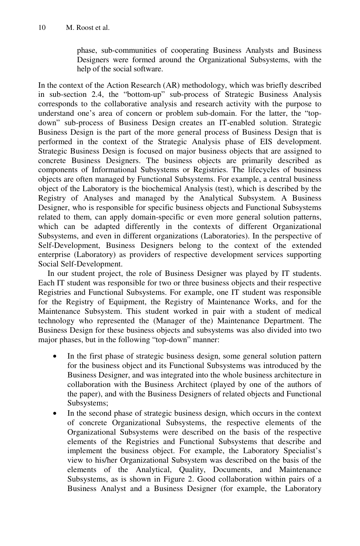phase, sub-communities of cooperating Business Analysts and Business Designers were formed around the Organizational Subsystems, with the help of the social software.

In the context of the Action Research (AR) methodology, which was briefly described in sub-section 2.4, the "bottom-up" sub-process of Strategic Business Analysis corresponds to the collaborative analysis and research activity with the purpose to understand one's area of concern or problem sub-domain. For the latter, the "topdown" sub-process of Business Design creates an IT-enabled solution. Strategic Business Design is the part of the more general process of Business Design that is performed in the context of the Strategic Analysis phase of EIS development. Strategic Business Design is focused on major business objects that are assigned to concrete Business Designers. The business objects are primarily described as components of Informational Subsystems or Registries. The lifecycles of business objects are often managed by Functional Subsystems. For example, a central business object of the Laboratory is the biochemical Analysis (test), which is described by the Registry of Analyses and managed by the Analytical Subsystem. A Business Designer, who is responsible for specific business objects and Functional Subsystems related to them, can apply domain-specific or even more general solution patterns, which can be adapted differently in the contexts of different Organizational Subsystems, and even in different organizations (Laboratories). In the perspective of Self-Development, Business Designers belong to the context of the extended enterprise (Laboratory) as providers of respective development services supporting Social Self-Development.

In our student project, the role of Business Designer was played by IT students. Each IT student was responsible for two or three business objects and their respective Registries and Functional Subsystems. For example, one IT student was responsible for the Registry of Equipment, the Registry of Maintenance Works, and for the Maintenance Subsystem. This student worked in pair with a student of medical technology who represented the (Manager of the) Maintenance Department. The Business Design for these business objects and subsystems was also divided into two major phases, but in the following "top-down" manner:

- In the first phase of strategic business design, some general solution pattern for the business object and its Functional Subsystems was introduced by the Business Designer, and was integrated into the whole business architecture in collaboration with the Business Architect (played by one of the authors of the paper), and with the Business Designers of related objects and Functional Subsystems;
- In the second phase of strategic business design, which occurs in the context of concrete Organizational Subsystems, the respective elements of the Organizational Subsystems were described on the basis of the respective elements of the Registries and Functional Subsystems that describe and implement the business object. For example, the Laboratory Specialist's view to his/her Organizational Subsystem was described on the basis of the elements of the Analytical, Quality, Documents, and Maintenance Subsystems, as is shown in Figure 2. Good collaboration within pairs of a Business Analyst and a Business Designer (for example, the Laboratory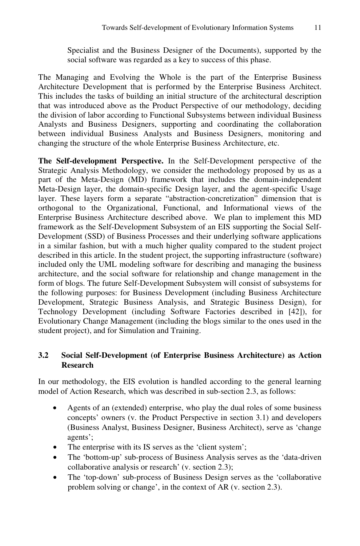Specialist and the Business Designer of the Documents), supported by the social software was regarded as a key to success of this phase.

The Managing and Evolving the Whole is the part of the Enterprise Business Architecture Development that is performed by the Enterprise Business Architect. This includes the tasks of building an initial structure of the architectural description that was introduced above as the Product Perspective of our methodology, deciding the division of labor according to Functional Subsystems between individual Business Analysts and Business Designers, supporting and coordinating the collaboration between individual Business Analysts and Business Designers, monitoring and changing the structure of the whole Enterprise Business Architecture, etc.

**The Self-development Perspective.** In the Self-Development perspective of the Strategic Analysis Methodology, we consider the methodology proposed by us as a part of the Meta-Design (MD) framework that includes the domain-independent Meta-Design layer, the domain-specific Design layer, and the agent-specific Usage layer. These layers form a separate "abstraction-concretization" dimension that is orthogonal to the Organizational, Functional, and Informational views of the Enterprise Business Architecture described above. We plan to implement this MD framework as the Self-Development Subsystem of an EIS supporting the Social Self-Development (SSD) of Business Processes and their underlying software applications in a similar fashion, but with a much higher quality compared to the student project described in this article. In the student project, the supporting infrastructure (software) included only the UML modeling software for describing and managing the business architecture, and the social software for relationship and change management in the form of blogs. The future Self-Development Subsystem will consist of subsystems for the following purposes: for Business Development (including Business Architecture Development, Strategic Business Analysis, and Strategic Business Design), for Technology Development (including Software Factories described in [42]), for Evolutionary Change Management (including the blogs similar to the ones used in the student project), and for Simulation and Training.

#### **3.2 Social Self-Development (of Enterprise Business Architecture) as Action Research**

In our methodology, the EIS evolution is handled according to the general learning model of Action Research, which was described in sub-section 2.3, as follows:

- Agents of an (extended) enterprise, who play the dual roles of some business concepts' owners (v. the Product Perspective in section 3.1) and developers (Business Analyst, Business Designer, Business Architect), serve as 'change agents';
- The enterprise with its IS serves as the 'client system';
- The 'bottom-up' sub-process of Business Analysis serves as the 'data-driven collaborative analysis or research' (v. section 2.3);
- The 'top-down' sub-process of Business Design serves as the 'collaborative problem solving or change', in the context of AR (v. section 2.3).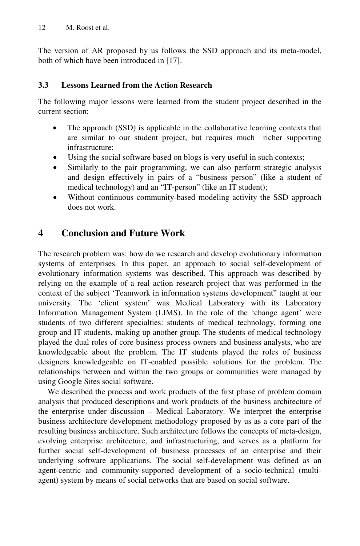The version of AR proposed by us follows the SSD approach and its meta-model, both of which have been introduced in [17].

### **3.3 Lessons Learned from the Action Research**

The following major lessons were learned from the student project described in the current section:

- The approach (SSD) is applicable in the collaborative learning contexts that are similar to our student project, but requires much richer supporting infrastructure;
- Using the social software based on blogs is very useful in such contexts;
- Similarly to the pair programming, we can also perform strategic analysis and design effectively in pairs of a "business person" (like a student of medical technology) and an "IT-person" (like an IT student);
- Without continuous community-based modeling activity the SSD approach does not work.

## **4 Conclusion and Future Work**

The research problem was: how do we research and develop evolutionary information systems of enterprises. In this paper, an approach to social self-development of evolutionary information systems was described. This approach was described by relying on the example of a real action research project that was performed in the context of the subject 'Teamwork in information systems development" taught at our university. The 'client system' was Medical Laboratory with its Laboratory Information Management System (LIMS). In the role of the 'change agent' were students of two different specialties: students of medical technology, forming one group and IT students, making up another group. The students of medical technology played the dual roles of core business process owners and business analysts, who are knowledgeable about the problem. The IT students played the roles of business designers knowledgeable on IT-enabled possible solutions for the problem. The relationships between and within the two groups or communities were managed by using Google Sites social software.

We described the process and work products of the first phase of problem domain analysis that produced descriptions and work products of the business architecture of the enterprise under discussion – Medical Laboratory. We interpret the enterprise business architecture development methodology proposed by us as a core part of the resulting business architecture. Such architecture follows the concepts of meta-design, evolving enterprise architecture, and infrastructuring, and serves as a platform for further social self-development of business processes of an enterprise and their underlying software applications. The social self-development was defined as an agent-centric and community-supported development of a socio-technical (multiagent) system by means of social networks that are based on social software.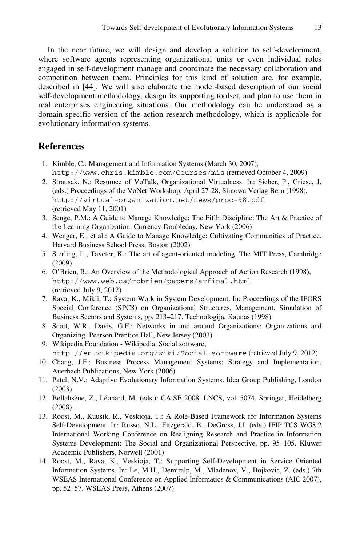In the near future, we will design and develop a solution to self-development, where software agents representing organizational units or even individual roles engaged in self-development manage and coordinate the necessary collaboration and competition between them. Principles for this kind of solution are, for example, described in [44]. We will also elaborate the model-based description of our social self-development methodology, design its supporting toolset, and plan to use them in real enterprises engineering situations. Our methodology can be understood as a domain-specific version of the action research methodology, which is applicable for evolutionary information systems.

#### **References**

- 1. Kimble, C.: Management and Information Systems (March 30, 2007), http://www.chris.kimble.com/Courses/mis (retrieved October 4, 2009)
- 2. Strausak, N.: Resumee of VoTalk, Organizational Virtualness. In: Sieber, P., Griese, J. (eds.) Proceedings of the VoNet-Workshop, April 27-28, Simowa Verlag Bern (1998), http://virtual-organization.net/news/proc-98.pdf (retrieved May 11, 2001)
- 3. Senge, P.M.: A Guide to Manage Knowledge: The Fifth Discipline: The Art & Practice of the Learning Organization. Currency-Doubleday, New York (2006)
- 4. Wenger, E., et al.: A Guide to Manage Knowledge: Cultivating Communities of Practice. Harvard Business School Press, Boston (2002)
- 5. Sterling, L., Taveter, K.: The art of agent-oriented modeling. The MIT Press, Cambridge (2009)
- 6. O'Brien, R.: An Overview of the Methodological Approach of Action Research (1998), http://www.web.ca/robrien/papers/arfinal.html (retrieved July 9, 2012)
- 7. Rava, K., Mikli, T.: System Work in System Development. In: Proceedings of the IFORS Special Conference (SPC8) on Organizational Structures, Management, Simulation of Business Sectors and Systems, pp. 213–217. Technologija, Kaunas (1998)
- 8. Scott, W.R., Davis, G.F.: Networks in and around Organizations: Organizations and Organizing. Pearson Prentice Hall, New Jersey (2003)
- 9. Wikipedia Foundation Wikipedia, Social software, http://en.wikipedia.org/wiki/Social\_software (retrieved July 9, 2012)
- 10. Chang, J.F.: Business Process Management Systems: Strategy and Implementation. Auerbach Publications, New York (2006)
- 11. Patel, N.V.: Adaptive Evolutionary Information Systems. Idea Group Publishing, London (2003)
- 12. Bellahsène, Z., Léonard, M. (eds.): CAiSE 2008. LNCS, vol. 5074. Springer, Heidelberg (2008)
- 13. Roost, M., Kuusik, R., Veskioja, T.: A Role-Based Framework for Information Systems Self-Development. In: Russo, N.L., Fitzgerald, B., DeGross, J.I. (eds.) IFIP TC8 WG8.2 International Working Conference on Realigning Research and Practice in Information Systems Development: The Social and Organizational Perspective, pp. 95–105. Kluwer Academic Publishers, Norwell (2001)
- 14. Roost, M., Rava, K., Veskioja, T.: Supporting Self-Development in Service Oriented Information Systems. In: Le, M.H., Demiralp, M., Mladenov, V., Bojkovic, Z. (eds.) 7th WSEAS International Conference on Applied Informatics & Communications (AIC 2007), pp. 52–57. WSEAS Press, Athens (2007)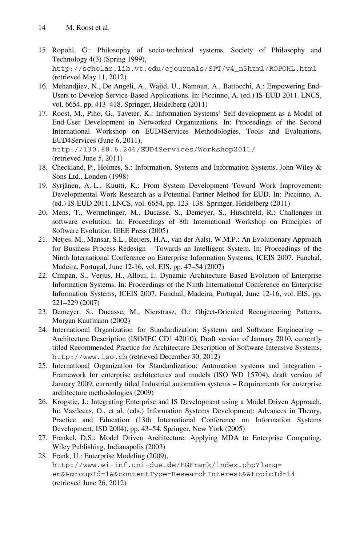- 15. Ropohl, G.: Philosophy of socio-technical systems. Society of Philosophy and Technology 4(3) (Spring 1999), http://scholar.lib.vt.edu/ejournals/SPT/v4\_n3html/ROPOHL.html (retrieved May 11, 2012)
- 16. Mehandjiev, N., De Angeli, A., Wajid, U., Namoun, A., Battocchi, A.: Empowering End-Users to Develop Service-Based Applications. In: Piccinno, A. (ed.) IS-EUD 2011. LNCS, vol. 6654, pp. 413–418. Springer, Heidelberg (2011)
- 17. Roost, M., Piho, G., Taveter, K.: Information Systems' Self-development as a Model of End-User Development in Networked Organizations. In: Proceedings of the Second International Workshop on EUD4Services Methodologies, Tools and Evaluations, EUD4Services (June 6, 2011), http://130.88.6.246/EUD4Services/Workshop2011/ (retrieved June 5, 2011)
- 18. Checkland, P., Holmes, S.: Information, Systems and Information Systems. John Wiley & Sons Ltd., London (1998)
- 19. Syrjänen, A.-L., Kuutti, K.: From System Development Toward Work Improvement: Developmental Work Research as a Potential Partner Method for EUD. In: Piccinno, A. (ed.) IS-EUD 2011. LNCS, vol. 6654, pp. 123–138. Springer, Heidelberg (2011)
- 20. Mens, T., Wermelinger, M., Ducasse, S., Demeyer, S., Hirschfeld, R.: Challenges in software evolution. In: Proceedings of 8th International Workshop on Principles of Software Evolution. IEEE Press (2005)
- 21. Netjes, M., Mansar, S.L., Reijers, H.A., van der Aalst, W.M.P.: An Evolutionary Approach for Business Process Redesign – Towards an Intelligent System. In: Proceedings of the Ninth International Conference on Enterprise Information Systems, ICEIS 2007, Funchal, Madeira, Portugal, June 12-16, vol. EIS, pp. 47–54 (2007)
- 22. Cimpan, S., Verjus, H., Alloui, I.: Dynamic Architecture Based Evolution of Enterprise Information Systems. In: Proceedings of the Ninth International Conference on Enterprise Information Systems, ICEIS 2007, Funchal, Madeira, Portugal, June 12-16, vol. EIS, pp. 221–229 (2007)
- 23. Demeyer, S., Ducasse, M., Nierstrasz, O.: Object-Oriented Reengineering Patterns. Morgan Kaufmann (2002)
- 24. International Organization for Standardization: Systems and Software Engineering Architecture Description (ISO/IEC CD1 42010), Draft version of January 2010, currently titled Recommended Practice for Architecture Description of Software Intensive Systems, http://www.iso.ch (retrieved December 30, 2012)
- 25. International Organization for Standardization: Automation systems and integration Framework for enterprise architectures and models (ISO WD 15704), draft version of January 2009, currently titled Industrial automation systems – Requirements for enterprise architecture methodologies (2009)
- 26. Krogstie, J.: Integrating Enterprise and IS Development using a Model Driven Approach. In: Vasilecas, O., et al. (eds.) Information Systems Development: Advances in Theory, Practice and Education (13th International Conference on Information Systems Development, ISD 2004), pp. 43–54. Springer, New York (2005)
- 27. Frankel, D.S.: Model Driven Architecture: Applying MDA to Enterprise Computing. Wiley Publishing, Indianapolis (2003)
- 28. Frank, U.: Enterprise Modeling (2009), http://www.wi-inf.uni-due.de/FGFrank/index.php?lang= en&&groupId=1&&contentType=ResearchInterest&&topicId=14 (retrieved June 26, 2012)